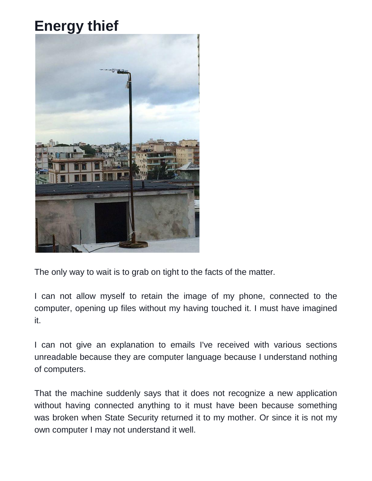## **Energy thief**



The only way to wait is to grab on tight to the facts of the matter.

I can not allow myself to retain the image of my phone, connected to the computer, opening up files without my having touched it. I must have imagined it.

I can not give an explanation to emails I've received with various sections unreadable because they are computer language because I understand nothing of computers.

That the machine suddenly says that it does not recognize a new application without having connected anything to it must have been because something was broken when State Security returned it to my mother. Or since it is not my own computer I may not understand it well.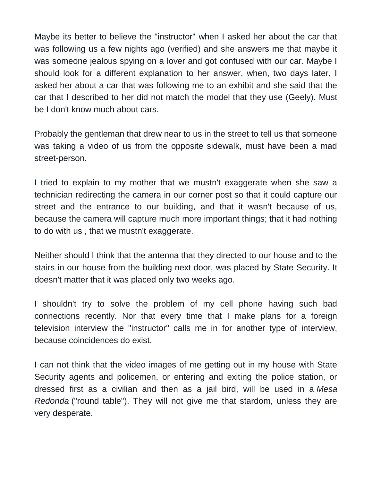Maybe its better to believe the "instructor" when I asked her about the car that was following us a few nights ago (verified) and she answers me that maybe it was someone jealous spying on a lover and got confused with our car. Maybe I should look for a different explanation to her answer, when, two days later, I asked her about a car that was following me to an exhibit and she said that the car that I described to her did not match the model that they use (Geely). Must be I don't know much about cars.

Probably the gentleman that drew near to us in the street to tell us that someone was taking a video of us from the opposite sidewalk, must have been a mad street-person.

I tried to explain to my mother that we mustn't exaggerate when she saw a technician redirecting the camera in our corner post so that it could capture our street and the entrance to our building, and that it wasn't because of us, because the camera will capture much more important things; that it had nothing to do with us , that we mustn't exaggerate.

Neither should I think that the antenna that they directed to our house and to the stairs in our house from the building next door, was placed by State Security. It doesn't matter that it was placed only two weeks ago.

I shouldn't try to solve the problem of my cell phone having such bad connections recently. Nor that every time that I make plans for a foreign television interview the "instructor" calls me in for another type of interview, because coincidences do exist.

I can not think that the video images of me getting out in my house with State Security agents and policemen, or entering and exiting the police station, or dressed first as a civilian and then as a jail bird, will be used in a *Mesa Redonda* ("round table"). They will not give me that stardom, unless they are very desperate.